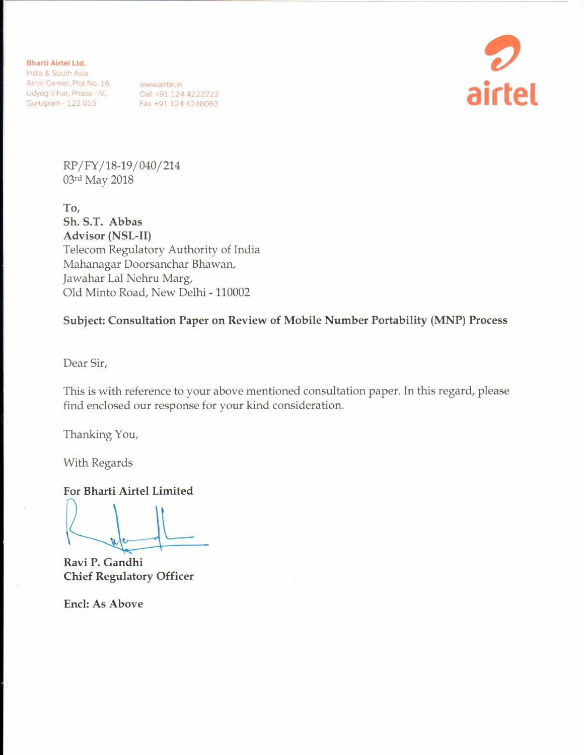**Bharti Airtel Ltd.** 

India & South Asia Airtel Center, Plot No. 16,<br>
Udyog Vihar, Phase - IV, Call +91 124 4222222<br>
Gurugram - 122 015 Fax +91 124 4248063



RP/FY/18-19/040/214 03rd May 2018

To, Sh. S.T. Abbas **Advisor (NSL-II)** Telecom Regulatory Authority of India Mahanagar Doorsanchar Bhawan, Jawahar Lal Nehru Marg, Old Minto Road, New Delhi - 110002

Subject: Consultation Paper on Review of Mobile Number Portability (MNP) Process

Dear Sir,

This is with reference to your above mentioned consultation paper. In this regard, please find enclosed our response for your kind consideration.

Thanking You,

With Regards

For Bharti Airtel Limited

Ravi P. Gandhi **Chief Regulatory Officer** 

**Encl: As Above**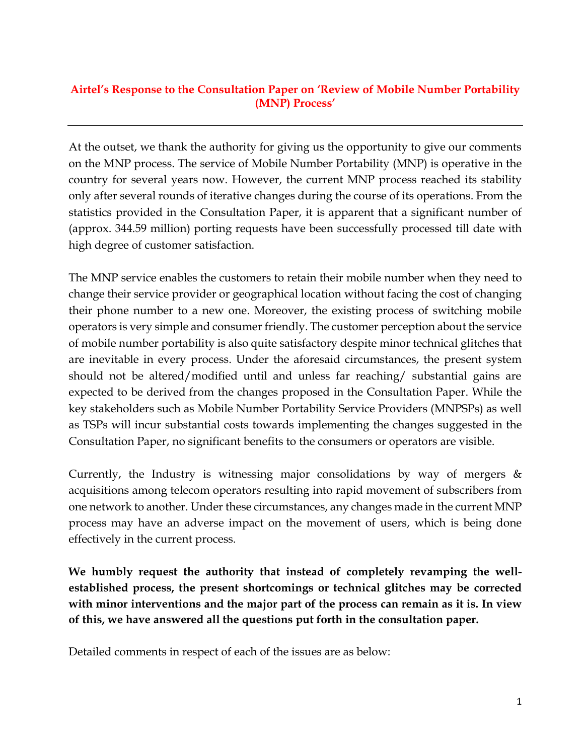### **Airtel's Response to the Consultation Paper on 'Review of Mobile Number Portability (MNP) Process'**

At the outset, we thank the authority for giving us the opportunity to give our comments on the MNP process. The service of Mobile Number Portability (MNP) is operative in the country for several years now. However, the current MNP process reached its stability only after several rounds of iterative changes during the course of its operations. From the statistics provided in the Consultation Paper, it is apparent that a significant number of (approx. 344.59 million) porting requests have been successfully processed till date with high degree of customer satisfaction.

The MNP service enables the customers to retain their mobile number when they need to change their service provider or geographical location without facing the cost of changing their phone number to a new one. Moreover, the existing process of switching mobile operators is very simple and consumer friendly. The customer perception about the service of mobile number portability is also quite satisfactory despite minor technical glitches that are inevitable in every process. Under the aforesaid circumstances, the present system should not be altered/modified until and unless far reaching/ substantial gains are expected to be derived from the changes proposed in the Consultation Paper. While the key stakeholders such as Mobile Number Portability Service Providers (MNPSPs) as well as TSPs will incur substantial costs towards implementing the changes suggested in the Consultation Paper, no significant benefits to the consumers or operators are visible.

Currently, the Industry is witnessing major consolidations by way of mergers  $\&$ acquisitions among telecom operators resulting into rapid movement of subscribers from one network to another. Under these circumstances, any changes made in the current MNP process may have an adverse impact on the movement of users, which is being done effectively in the current process.

**We humbly request the authority that instead of completely revamping the wellestablished process, the present shortcomings or technical glitches may be corrected with minor interventions and the major part of the process can remain as it is. In view of this, we have answered all the questions put forth in the consultation paper.**

Detailed comments in respect of each of the issues are as below: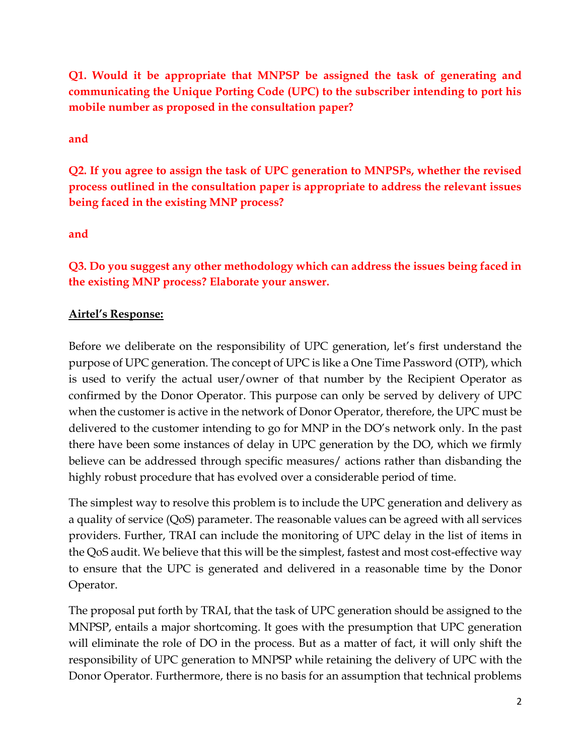**Q1. Would it be appropriate that MNPSP be assigned the task of generating and communicating the Unique Porting Code (UPC) to the subscriber intending to port his mobile number as proposed in the consultation paper?** 

**and**

**Q2. If you agree to assign the task of UPC generation to MNPSPs, whether the revised process outlined in the consultation paper is appropriate to address the relevant issues being faced in the existing MNP process?** 

**and**

**Q3. Do you suggest any other methodology which can address the issues being faced in the existing MNP process? Elaborate your answer.** 

## **Airtel's Response:**

Before we deliberate on the responsibility of UPC generation, let's first understand the purpose of UPC generation. The concept of UPC is like a One Time Password (OTP), which is used to verify the actual user/owner of that number by the Recipient Operator as confirmed by the Donor Operator. This purpose can only be served by delivery of UPC when the customer is active in the network of Donor Operator, therefore, the UPC must be delivered to the customer intending to go for MNP in the DO's network only. In the past there have been some instances of delay in UPC generation by the DO, which we firmly believe can be addressed through specific measures/ actions rather than disbanding the highly robust procedure that has evolved over a considerable period of time.

The simplest way to resolve this problem is to include the UPC generation and delivery as a quality of service (QoS) parameter. The reasonable values can be agreed with all services providers. Further, TRAI can include the monitoring of UPC delay in the list of items in the QoS audit. We believe that this will be the simplest, fastest and most cost-effective way to ensure that the UPC is generated and delivered in a reasonable time by the Donor Operator.

The proposal put forth by TRAI, that the task of UPC generation should be assigned to the MNPSP, entails a major shortcoming. It goes with the presumption that UPC generation will eliminate the role of DO in the process. But as a matter of fact, it will only shift the responsibility of UPC generation to MNPSP while retaining the delivery of UPC with the Donor Operator. Furthermore, there is no basis for an assumption that technical problems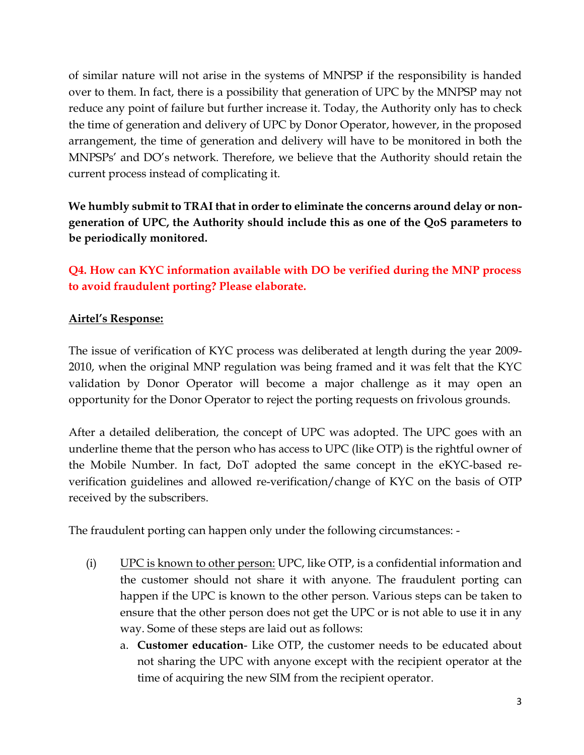of similar nature will not arise in the systems of MNPSP if the responsibility is handed over to them. In fact, there is a possibility that generation of UPC by the MNPSP may not reduce any point of failure but further increase it. Today, the Authority only has to check the time of generation and delivery of UPC by Donor Operator, however, in the proposed arrangement, the time of generation and delivery will have to be monitored in both the MNPSPs' and DO's network. Therefore, we believe that the Authority should retain the current process instead of complicating it.

**We humbly submit to TRAI that in order to eliminate the concerns around delay or nongeneration of UPC, the Authority should include this as one of the QoS parameters to be periodically monitored.** 

**Q4. How can KYC information available with DO be verified during the MNP process to avoid fraudulent porting? Please elaborate.**

### **Airtel's Response:**

The issue of verification of KYC process was deliberated at length during the year 2009- 2010, when the original MNP regulation was being framed and it was felt that the KYC validation by Donor Operator will become a major challenge as it may open an opportunity for the Donor Operator to reject the porting requests on frivolous grounds.

After a detailed deliberation, the concept of UPC was adopted. The UPC goes with an underline theme that the person who has access to UPC (like OTP) is the rightful owner of the Mobile Number. In fact, DoT adopted the same concept in the eKYC-based reverification guidelines and allowed re-verification/change of KYC on the basis of OTP received by the subscribers.

The fraudulent porting can happen only under the following circumstances: -

- (i) UPC is known to other person: UPC, like OTP, is a confidential information and the customer should not share it with anyone. The fraudulent porting can happen if the UPC is known to the other person. Various steps can be taken to ensure that the other person does not get the UPC or is not able to use it in any way. Some of these steps are laid out as follows:
	- a. **Customer education** Like OTP, the customer needs to be educated about not sharing the UPC with anyone except with the recipient operator at the time of acquiring the new SIM from the recipient operator.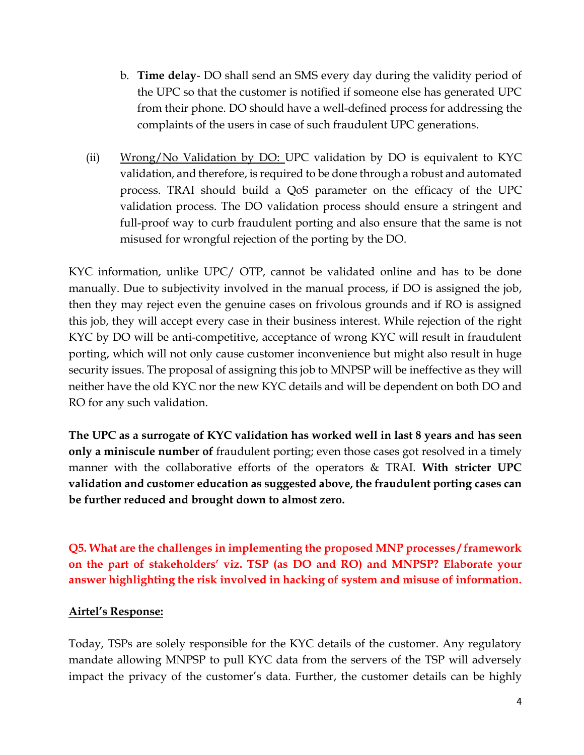- b. **Time delay** DO shall send an SMS every day during the validity period of the UPC so that the customer is notified if someone else has generated UPC from their phone. DO should have a well-defined process for addressing the complaints of the users in case of such fraudulent UPC generations.
- (ii) Wrong/No Validation by DO: UPC validation by DO is equivalent to KYC validation, and therefore, is required to be done through a robust and automated process. TRAI should build a QoS parameter on the efficacy of the UPC validation process. The DO validation process should ensure a stringent and full-proof way to curb fraudulent porting and also ensure that the same is not misused for wrongful rejection of the porting by the DO.

KYC information, unlike UPC/ OTP, cannot be validated online and has to be done manually. Due to subjectivity involved in the manual process, if DO is assigned the job, then they may reject even the genuine cases on frivolous grounds and if RO is assigned this job, they will accept every case in their business interest. While rejection of the right KYC by DO will be anti-competitive, acceptance of wrong KYC will result in fraudulent porting, which will not only cause customer inconvenience but might also result in huge security issues. The proposal of assigning this job to MNPSP will be ineffective as they will neither have the old KYC nor the new KYC details and will be dependent on both DO and RO for any such validation.

**The UPC as a surrogate of KYC validation has worked well in last 8 years and has seen only a miniscule number of** fraudulent porting; even those cases got resolved in a timely manner with the collaborative efforts of the operators & TRAI. **With stricter UPC validation and customer education as suggested above, the fraudulent porting cases can be further reduced and brought down to almost zero.**

**Q5. What are the challenges in implementing the proposed MNP processes / framework on the part of stakeholders' viz. TSP (as DO and RO) and MNPSP? Elaborate your answer highlighting the risk involved in hacking of system and misuse of information.**

### **Airtel's Response:**

Today, TSPs are solely responsible for the KYC details of the customer. Any regulatory mandate allowing MNPSP to pull KYC data from the servers of the TSP will adversely impact the privacy of the customer's data. Further, the customer details can be highly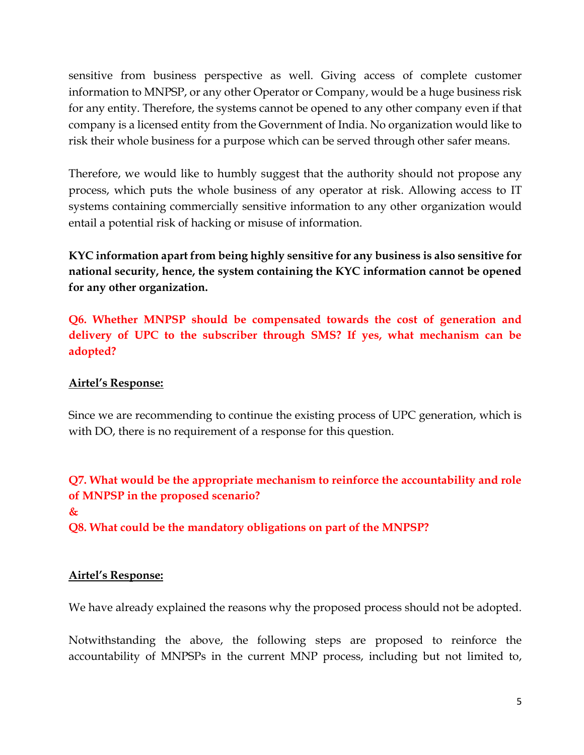sensitive from business perspective as well. Giving access of complete customer information to MNPSP, or any other Operator or Company, would be a huge business risk for any entity. Therefore, the systems cannot be opened to any other company even if that company is a licensed entity from the Government of India. No organization would like to risk their whole business for a purpose which can be served through other safer means.

Therefore, we would like to humbly suggest that the authority should not propose any process, which puts the whole business of any operator at risk. Allowing access to IT systems containing commercially sensitive information to any other organization would entail a potential risk of hacking or misuse of information.

**KYC information apart from being highly sensitive for any business is also sensitive for national security, hence, the system containing the KYC information cannot be opened for any other organization.**

**Q6. Whether MNPSP should be compensated towards the cost of generation and delivery of UPC to the subscriber through SMS? If yes, what mechanism can be adopted?** 

### **Airtel's Response:**

Since we are recommending to continue the existing process of UPC generation, which is with DO, there is no requirement of a response for this question.

**Q7. What would be the appropriate mechanism to reinforce the accountability and role of MNPSP in the proposed scenario?** 

#### **&**

**Q8. What could be the mandatory obligations on part of the MNPSP?**

#### **Airtel's Response:**

We have already explained the reasons why the proposed process should not be adopted.

Notwithstanding the above, the following steps are proposed to reinforce the accountability of MNPSPs in the current MNP process, including but not limited to,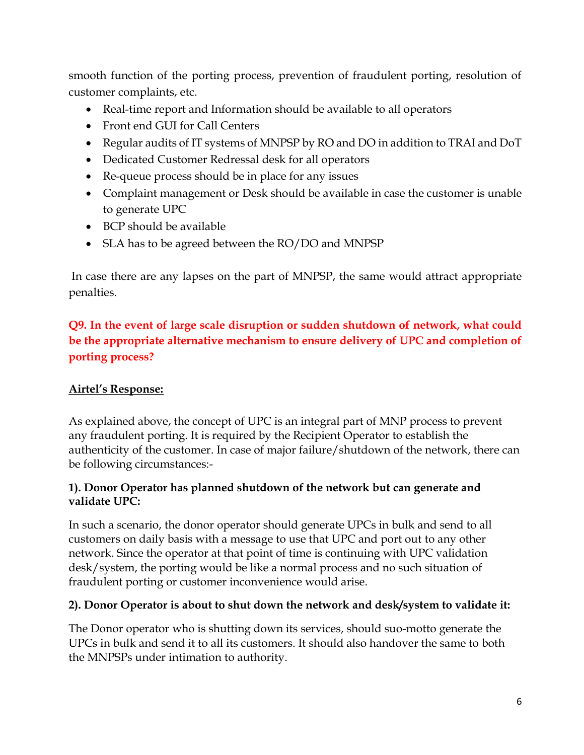smooth function of the porting process, prevention of fraudulent porting, resolution of customer complaints, etc.

- Real-time report and Information should be available to all operators
- Front end GUI for Call Centers
- Regular audits of IT systems of MNPSP by RO and DO in addition to TRAI and DoT
- Dedicated Customer Redressal desk for all operators
- Re-queue process should be in place for any issues
- Complaint management or Desk should be available in case the customer is unable to generate UPC
- BCP should be available
- SLA has to be agreed between the RO/DO and MNPSP

In case there are any lapses on the part of MNPSP, the same would attract appropriate penalties.

## **Q9. In the event of large scale disruption or sudden shutdown of network, what could be the appropriate alternative mechanism to ensure delivery of UPC and completion of porting process?**

### **Airtel's Response:**

As explained above, the concept of UPC is an integral part of MNP process to prevent any fraudulent porting. It is required by the Recipient Operator to establish the authenticity of the customer. In case of major failure/shutdown of the network, there can be following circumstances:-

#### **1). Donor Operator has planned shutdown of the network but can generate and validate UPC:**

In such a scenario, the donor operator should generate UPCs in bulk and send to all customers on daily basis with a message to use that UPC and port out to any other network. Since the operator at that point of time is continuing with UPC validation desk/system, the porting would be like a normal process and no such situation of fraudulent porting or customer inconvenience would arise.

### **2). Donor Operator is about to shut down the network and desk/system to validate it:**

The Donor operator who is shutting down its services, should suo-motto generate the UPCs in bulk and send it to all its customers. It should also handover the same to both the MNPSPs under intimation to authority.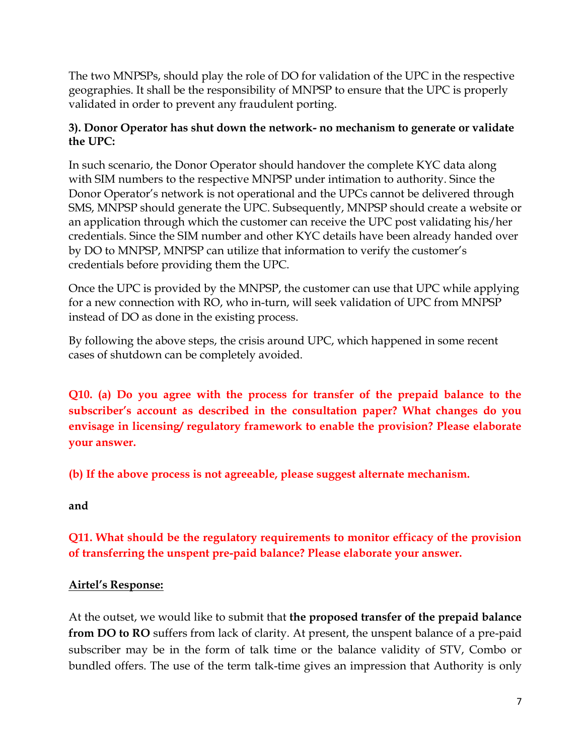The two MNPSPs, should play the role of DO for validation of the UPC in the respective geographies. It shall be the responsibility of MNPSP to ensure that the UPC is properly validated in order to prevent any fraudulent porting.

### **3). Donor Operator has shut down the network- no mechanism to generate or validate the UPC:**

In such scenario, the Donor Operator should handover the complete KYC data along with SIM numbers to the respective MNPSP under intimation to authority. Since the Donor Operator's network is not operational and the UPCs cannot be delivered through SMS, MNPSP should generate the UPC. Subsequently, MNPSP should create a website or an application through which the customer can receive the UPC post validating his/her credentials. Since the SIM number and other KYC details have been already handed over by DO to MNPSP, MNPSP can utilize that information to verify the customer's credentials before providing them the UPC.

Once the UPC is provided by the MNPSP, the customer can use that UPC while applying for a new connection with RO, who in-turn, will seek validation of UPC from MNPSP instead of DO as done in the existing process.

By following the above steps, the crisis around UPC, which happened in some recent cases of shutdown can be completely avoided.

**Q10. (a) Do you agree with the process for transfer of the prepaid balance to the subscriber's account as described in the consultation paper? What changes do you envisage in licensing/ regulatory framework to enable the provision? Please elaborate your answer.** 

**(b) If the above process is not agreeable, please suggest alternate mechanism.** 

**and**

# **Q11. What should be the regulatory requirements to monitor efficacy of the provision of transferring the unspent pre-paid balance? Please elaborate your answer.**

### **Airtel's Response:**

At the outset, we would like to submit that **the proposed transfer of the prepaid balance from DO to RO** suffers from lack of clarity. At present, the unspent balance of a pre-paid subscriber may be in the form of talk time or the balance validity of STV, Combo or bundled offers. The use of the term talk-time gives an impression that Authority is only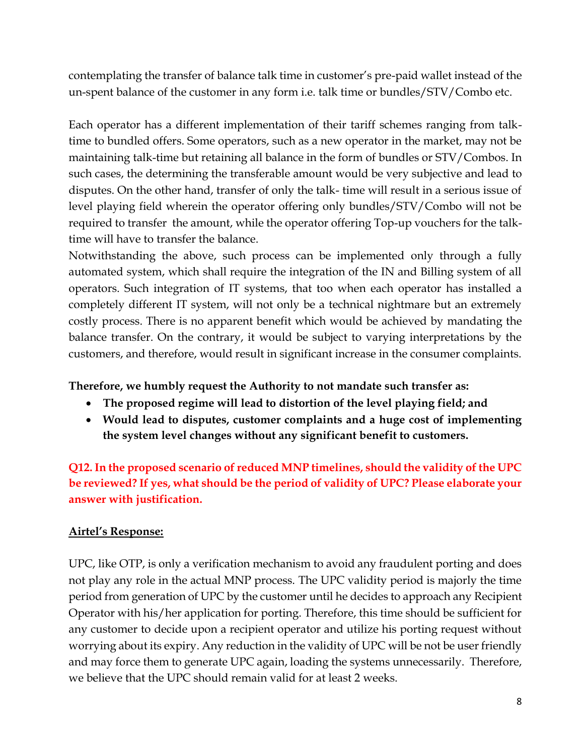contemplating the transfer of balance talk time in customer's pre-paid wallet instead of the un-spent balance of the customer in any form i.e. talk time or bundles/STV/Combo etc.

Each operator has a different implementation of their tariff schemes ranging from talktime to bundled offers. Some operators, such as a new operator in the market, may not be maintaining talk-time but retaining all balance in the form of bundles or STV/Combos. In such cases, the determining the transferable amount would be very subjective and lead to disputes. On the other hand, transfer of only the talk- time will result in a serious issue of level playing field wherein the operator offering only bundles/STV/Combo will not be required to transfer the amount, while the operator offering Top-up vouchers for the talktime will have to transfer the balance.

Notwithstanding the above, such process can be implemented only through a fully automated system, which shall require the integration of the IN and Billing system of all operators. Such integration of IT systems, that too when each operator has installed a completely different IT system, will not only be a technical nightmare but an extremely costly process. There is no apparent benefit which would be achieved by mandating the balance transfer. On the contrary, it would be subject to varying interpretations by the customers, and therefore, would result in significant increase in the consumer complaints.

### **Therefore, we humbly request the Authority to not mandate such transfer as:**

- **The proposed regime will lead to distortion of the level playing field; and**
- **Would lead to disputes, customer complaints and a huge cost of implementing the system level changes without any significant benefit to customers.**

**Q12. In the proposed scenario of reduced MNP timelines, should the validity of the UPC be reviewed? If yes, what should be the period of validity of UPC? Please elaborate your answer with justification.** 

### **Airtel's Response:**

UPC, like OTP, is only a verification mechanism to avoid any fraudulent porting and does not play any role in the actual MNP process. The UPC validity period is majorly the time period from generation of UPC by the customer until he decides to approach any Recipient Operator with his/her application for porting. Therefore, this time should be sufficient for any customer to decide upon a recipient operator and utilize his porting request without worrying about its expiry. Any reduction in the validity of UPC will be not be user friendly and may force them to generate UPC again, loading the systems unnecessarily. Therefore, we believe that the UPC should remain valid for at least 2 weeks.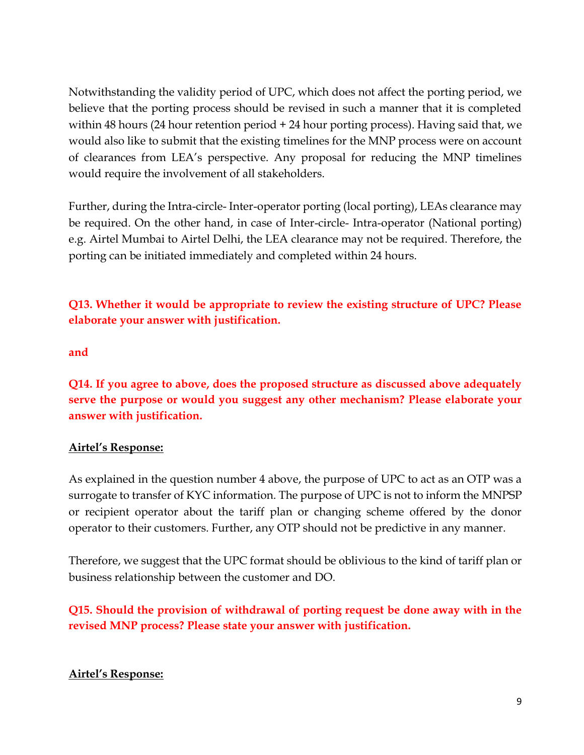Notwithstanding the validity period of UPC, which does not affect the porting period, we believe that the porting process should be revised in such a manner that it is completed within 48 hours (24 hour retention period + 24 hour porting process). Having said that, we would also like to submit that the existing timelines for the MNP process were on account of clearances from LEA's perspective. Any proposal for reducing the MNP timelines would require the involvement of all stakeholders.

Further, during the Intra-circle- Inter-operator porting (local porting), LEAs clearance may be required. On the other hand, in case of Inter-circle- Intra-operator (National porting) e.g. Airtel Mumbai to Airtel Delhi, the LEA clearance may not be required. Therefore, the porting can be initiated immediately and completed within 24 hours.

**Q13. Whether it would be appropriate to review the existing structure of UPC? Please elaborate your answer with justification.** 

#### **and**

**Q14. If you agree to above, does the proposed structure as discussed above adequately serve the purpose or would you suggest any other mechanism? Please elaborate your answer with justification.** 

### **Airtel's Response:**

As explained in the question number 4 above, the purpose of UPC to act as an OTP was a surrogate to transfer of KYC information. The purpose of UPC is not to inform the MNPSP or recipient operator about the tariff plan or changing scheme offered by the donor operator to their customers. Further, any OTP should not be predictive in any manner.

Therefore, we suggest that the UPC format should be oblivious to the kind of tariff plan or business relationship between the customer and DO.

**Q15. Should the provision of withdrawal of porting request be done away with in the revised MNP process? Please state your answer with justification.** 

### **Airtel's Response:**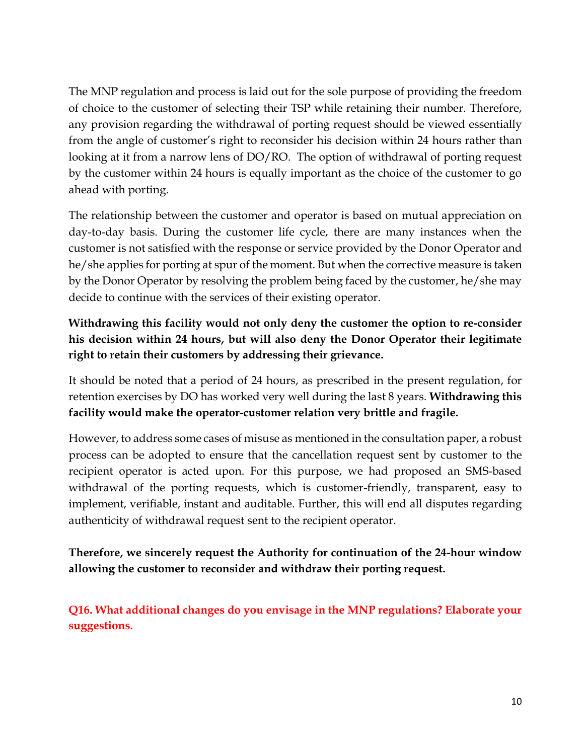The MNP regulation and process is laid out for the sole purpose of providing the freedom of choice to the customer of selecting their TSP while retaining their number. Therefore, any provision regarding the withdrawal of porting request should be viewed essentially from the angle of customer's right to reconsider his decision within 24 hours rather than looking at it from a narrow lens of DO/RO. The option of withdrawal of porting request by the customer within 24 hours is equally important as the choice of the customer to go ahead with porting.

The relationship between the customer and operator is based on mutual appreciation on day-to-day basis. During the customer life cycle, there are many instances when the customer is not satisfied with the response or service provided by the Donor Operator and he/she applies for porting at spur of the moment. But when the corrective measure is taken by the Donor Operator by resolving the problem being faced by the customer, he/she may decide to continue with the services of their existing operator.

# **Withdrawing this facility would not only deny the customer the option to re-consider his decision within 24 hours, but will also deny the Donor Operator their legitimate right to retain their customers by addressing their grievance.**

It should be noted that a period of 24 hours, as prescribed in the present regulation, for retention exercises by DO has worked very well during the last 8 years. **Withdrawing this facility would make the operator-customer relation very brittle and fragile.**

However, to address some cases of misuse as mentioned in the consultation paper, a robust process can be adopted to ensure that the cancellation request sent by customer to the recipient operator is acted upon. For this purpose, we had proposed an SMS-based withdrawal of the porting requests, which is customer-friendly, transparent, easy to implement, verifiable, instant and auditable. Further, this will end all disputes regarding authenticity of withdrawal request sent to the recipient operator.

## **Therefore, we sincerely request the Authority for continuation of the 24-hour window allowing the customer to reconsider and withdraw their porting request.**

**Q16. What additional changes do you envisage in the MNP regulations? Elaborate your suggestions.**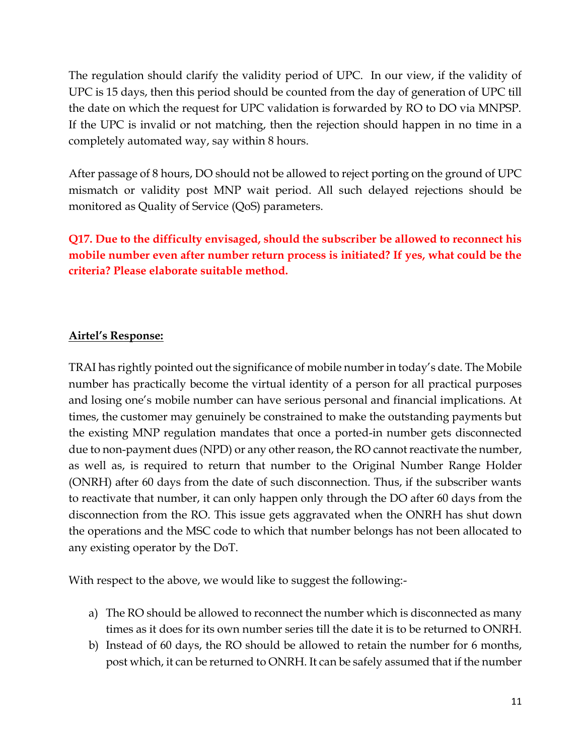The regulation should clarify the validity period of UPC. In our view, if the validity of UPC is 15 days, then this period should be counted from the day of generation of UPC till the date on which the request for UPC validation is forwarded by RO to DO via MNPSP. If the UPC is invalid or not matching, then the rejection should happen in no time in a completely automated way, say within 8 hours.

After passage of 8 hours, DO should not be allowed to reject porting on the ground of UPC mismatch or validity post MNP wait period. All such delayed rejections should be monitored as Quality of Service (QoS) parameters.

**Q17. Due to the difficulty envisaged, should the subscriber be allowed to reconnect his mobile number even after number return process is initiated? If yes, what could be the criteria? Please elaborate suitable method.** 

### **Airtel's Response:**

TRAI has rightly pointed out the significance of mobile number in today's date. The Mobile number has practically become the virtual identity of a person for all practical purposes and losing one's mobile number can have serious personal and financial implications. At times, the customer may genuinely be constrained to make the outstanding payments but the existing MNP regulation mandates that once a ported-in number gets disconnected due to non-payment dues (NPD) or any other reason, the RO cannot reactivate the number, as well as, is required to return that number to the Original Number Range Holder (ONRH) after 60 days from the date of such disconnection. Thus, if the subscriber wants to reactivate that number, it can only happen only through the DO after 60 days from the disconnection from the RO. This issue gets aggravated when the ONRH has shut down the operations and the MSC code to which that number belongs has not been allocated to any existing operator by the DoT.

With respect to the above, we would like to suggest the following:-

- a) The RO should be allowed to reconnect the number which is disconnected as many times as it does for its own number series till the date it is to be returned to ONRH.
- b) Instead of 60 days, the RO should be allowed to retain the number for 6 months, post which, it can be returned to ONRH. It can be safely assumed that if the number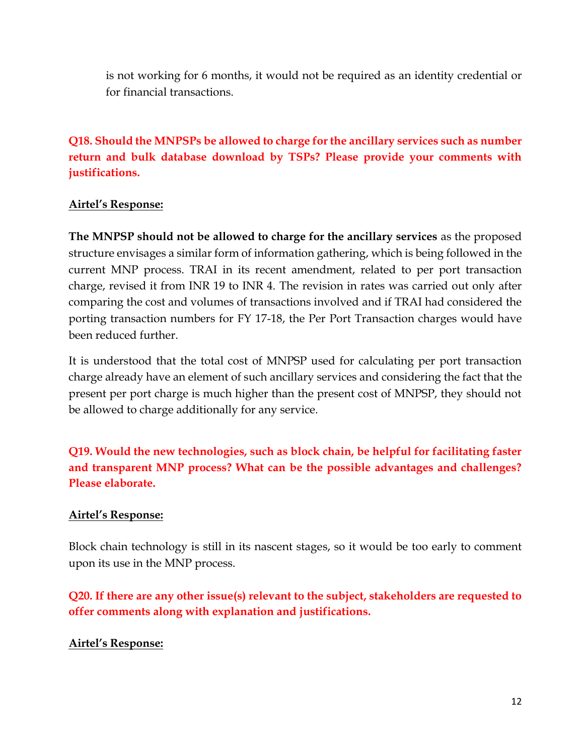is not working for 6 months, it would not be required as an identity credential or for financial transactions.

**Q18. Should the MNPSPs be allowed to charge for the ancillary services such as number return and bulk database download by TSPs? Please provide your comments with justifications.** 

### **Airtel's Response:**

**The MNPSP should not be allowed to charge for the ancillary services** as the proposed structure envisages a similar form of information gathering, which is being followed in the current MNP process. TRAI in its recent amendment, related to per port transaction charge, revised it from INR 19 to INR 4. The revision in rates was carried out only after comparing the cost and volumes of transactions involved and if TRAI had considered the porting transaction numbers for FY 17-18, the Per Port Transaction charges would have been reduced further.

It is understood that the total cost of MNPSP used for calculating per port transaction charge already have an element of such ancillary services and considering the fact that the present per port charge is much higher than the present cost of MNPSP, they should not be allowed to charge additionally for any service.

**Q19. Would the new technologies, such as block chain, be helpful for facilitating faster and transparent MNP process? What can be the possible advantages and challenges? Please elaborate.** 

### **Airtel's Response:**

Block chain technology is still in its nascent stages, so it would be too early to comment upon its use in the MNP process.

**Q20. If there are any other issue(s) relevant to the subject, stakeholders are requested to offer comments along with explanation and justifications.** 

### **Airtel's Response:**